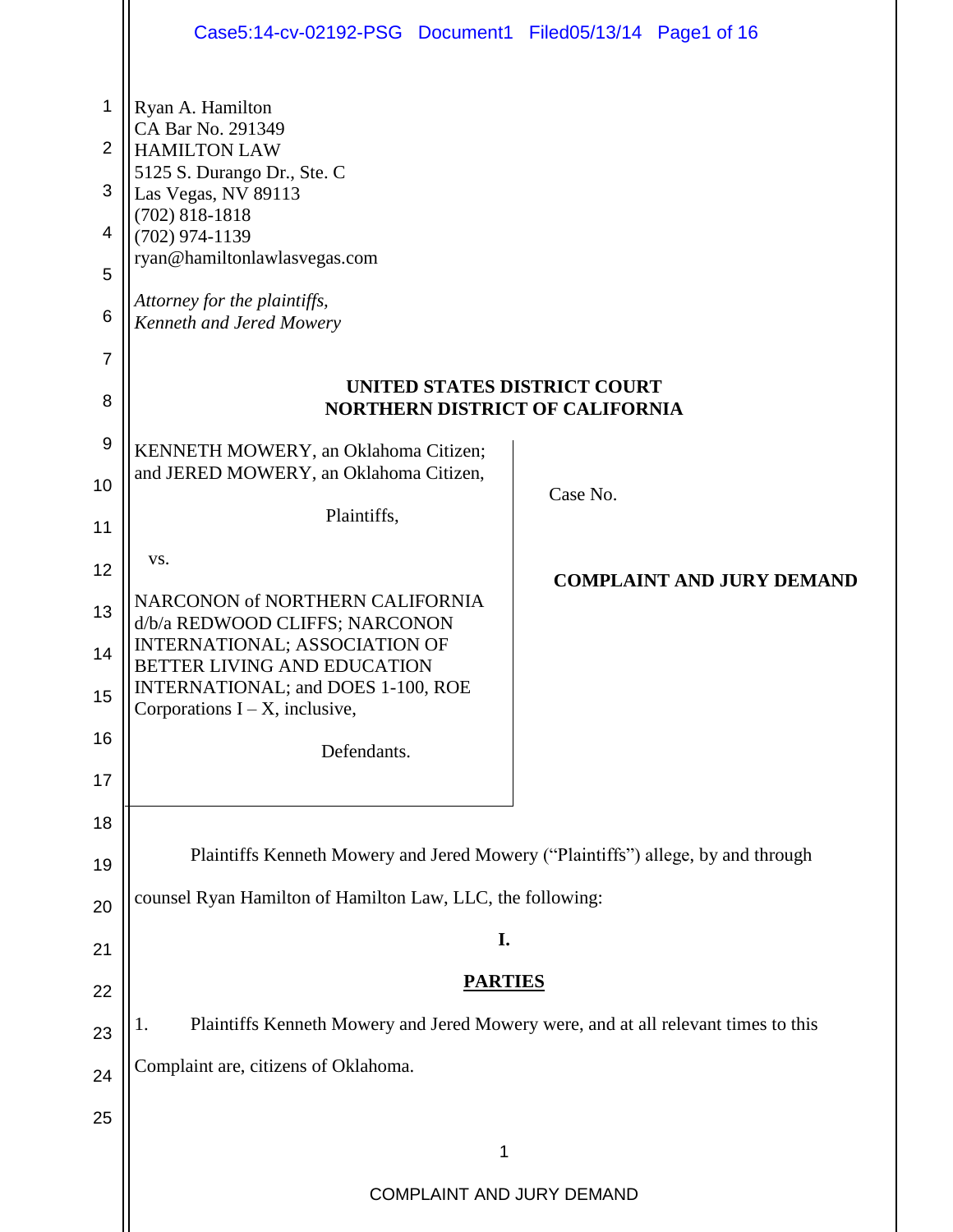|                | Case5:14-cv-02192-PSG Document1 Filed05/13/14 Page1 of 16                                |          |                                  |
|----------------|------------------------------------------------------------------------------------------|----------|----------------------------------|
| 1              | Ryan A. Hamilton<br>CA Bar No. 291349                                                    |          |                                  |
| $\overline{2}$ | <b>HAMILTON LAW</b>                                                                      |          |                                  |
| 3              | 5125 S. Durango Dr., Ste. C<br>Las Vegas, NV 89113                                       |          |                                  |
| 4              | $(702)$ 818-1818<br>$(702)$ 974-1139                                                     |          |                                  |
| 5              | ryan@hamiltonlawlasvegas.com                                                             |          |                                  |
| 6              | Attorney for the plaintiffs,<br>Kenneth and Jered Mowery                                 |          |                                  |
| $\overline{7}$ |                                                                                          |          |                                  |
| 8              | <b>UNITED STATES DISTRICT COURT</b><br><b>NORTHERN DISTRICT OF CALIFORNIA</b>            |          |                                  |
| 9              | KENNETH MOWERY, an Oklahoma Citizen;                                                     |          |                                  |
| 10             | and JERED MOWERY, an Oklahoma Citizen,                                                   | Case No. |                                  |
| 11             | Plaintiffs,                                                                              |          |                                  |
| 12             | VS.                                                                                      |          | <b>COMPLAINT AND JURY DEMAND</b> |
| 13             | NARCONON of NORTHERN CALIFORNIA<br>d/b/a REDWOOD CLIFFS; NARCONON                        |          |                                  |
| 14             | <b>INTERNATIONAL; ASSOCIATION OF</b><br>BETTER LIVING AND EDUCATION                      |          |                                  |
| 15             | INTERNATIONAL; and DOES 1-100, ROE<br>Corporations $I - X$ , inclusive,                  |          |                                  |
| 16             | Defendants.                                                                              |          |                                  |
| 17             |                                                                                          |          |                                  |
| 18             |                                                                                          |          |                                  |
| 19             | Plaintiffs Kenneth Mowery and Jered Mowery ("Plaintiffs") allege, by and through         |          |                                  |
| 20             | counsel Ryan Hamilton of Hamilton Law, LLC, the following:                               |          |                                  |
| 21             | I.                                                                                       |          |                                  |
| 22             | <b>PARTIES</b>                                                                           |          |                                  |
| 23             | Plaintiffs Kenneth Mowery and Jered Mowery were, and at all relevant times to this<br>1. |          |                                  |
| 24             | Complaint are, citizens of Oklahoma.                                                     |          |                                  |
| 25             |                                                                                          |          |                                  |
|                | 1                                                                                        |          |                                  |
|                | COMPLAINT AND JURY DEMAND                                                                |          |                                  |
|                |                                                                                          |          |                                  |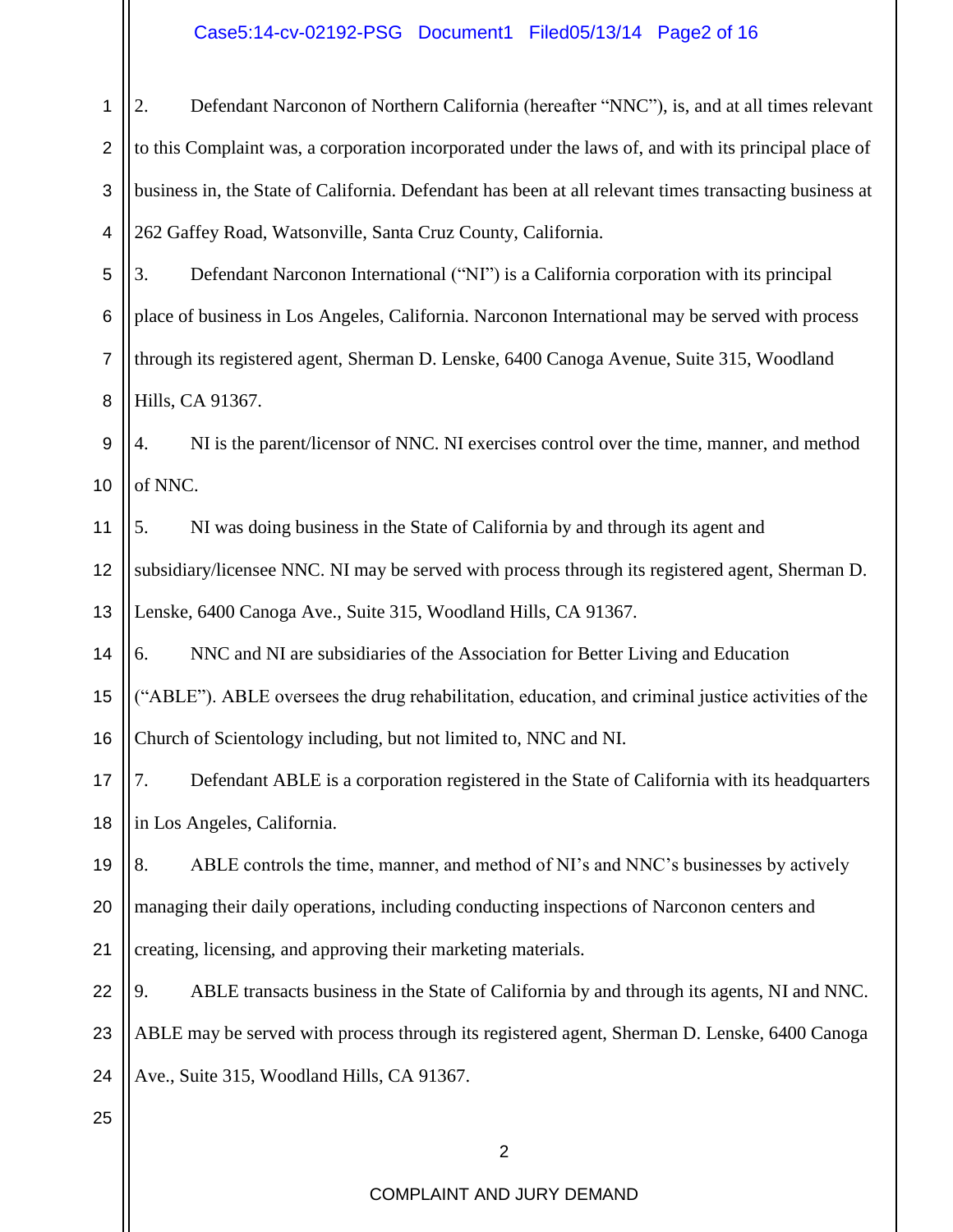#### Case5:14-cv-02192-PSG Document1 Filed05/13/14 Page2 of 16

 $\mathbf{||}$ 

| 1               | Defendant Narconon of Northern California (hereafter "NNC"), is, and at all times relevant             |  |
|-----------------|--------------------------------------------------------------------------------------------------------|--|
| $\overline{2}$  | to this Complaint was, a corporation incorporated under the laws of, and with its principal place of   |  |
| $\sqrt{3}$      | business in, the State of California. Defendant has been at all relevant times transacting business at |  |
| 4               | 262 Gaffey Road, Watsonville, Santa Cruz County, California.                                           |  |
| 5               | Defendant Narconon International ("NI") is a California corporation with its principal<br>3.           |  |
| $6\phantom{1}6$ | place of business in Los Angeles, California. Narconon International may be served with process        |  |
| $\overline{7}$  | through its registered agent, Sherman D. Lenske, 6400 Canoga Avenue, Suite 315, Woodland               |  |
| 8               | Hills, CA 91367.                                                                                       |  |
| $\overline{9}$  | NI is the parent/licensor of NNC. NI exercises control over the time, manner, and method<br>4.         |  |
| 10              | of NNC.                                                                                                |  |
| 11              | NI was doing business in the State of California by and through its agent and<br>5.                    |  |
| 12              | subsidiary/licensee NNC. NI may be served with process through its registered agent, Sherman D.        |  |
| 13              | Lenske, 6400 Canoga Ave., Suite 315, Woodland Hills, CA 91367.                                         |  |
| 14              | NNC and NI are subsidiaries of the Association for Better Living and Education<br>6.                   |  |
| 15              | ("ABLE"). ABLE oversees the drug rehabilitation, education, and criminal justice activities of the     |  |
| 16              | Church of Scientology including, but not limited to, NNC and NI.                                       |  |
| 17              | Defendant ABLE is a corporation registered in the State of California with its headquarters            |  |
| 18              | in Los Angeles, California.                                                                            |  |
| 19              | 8.<br>ABLE controls the time, manner, and method of NI's and NNC's businesses by actively              |  |
| 20              | managing their daily operations, including conducting inspections of Narconon centers and              |  |
| 21              | creating, licensing, and approving their marketing materials.                                          |  |
| 22              | 9.<br>ABLE transacts business in the State of California by and through its agents, NI and NNC.        |  |
| 23              | ABLE may be served with process through its registered agent, Sherman D. Lenske, 6400 Canoga           |  |
| 24              | Ave., Suite 315, Woodland Hills, CA 91367.                                                             |  |
| 25              |                                                                                                        |  |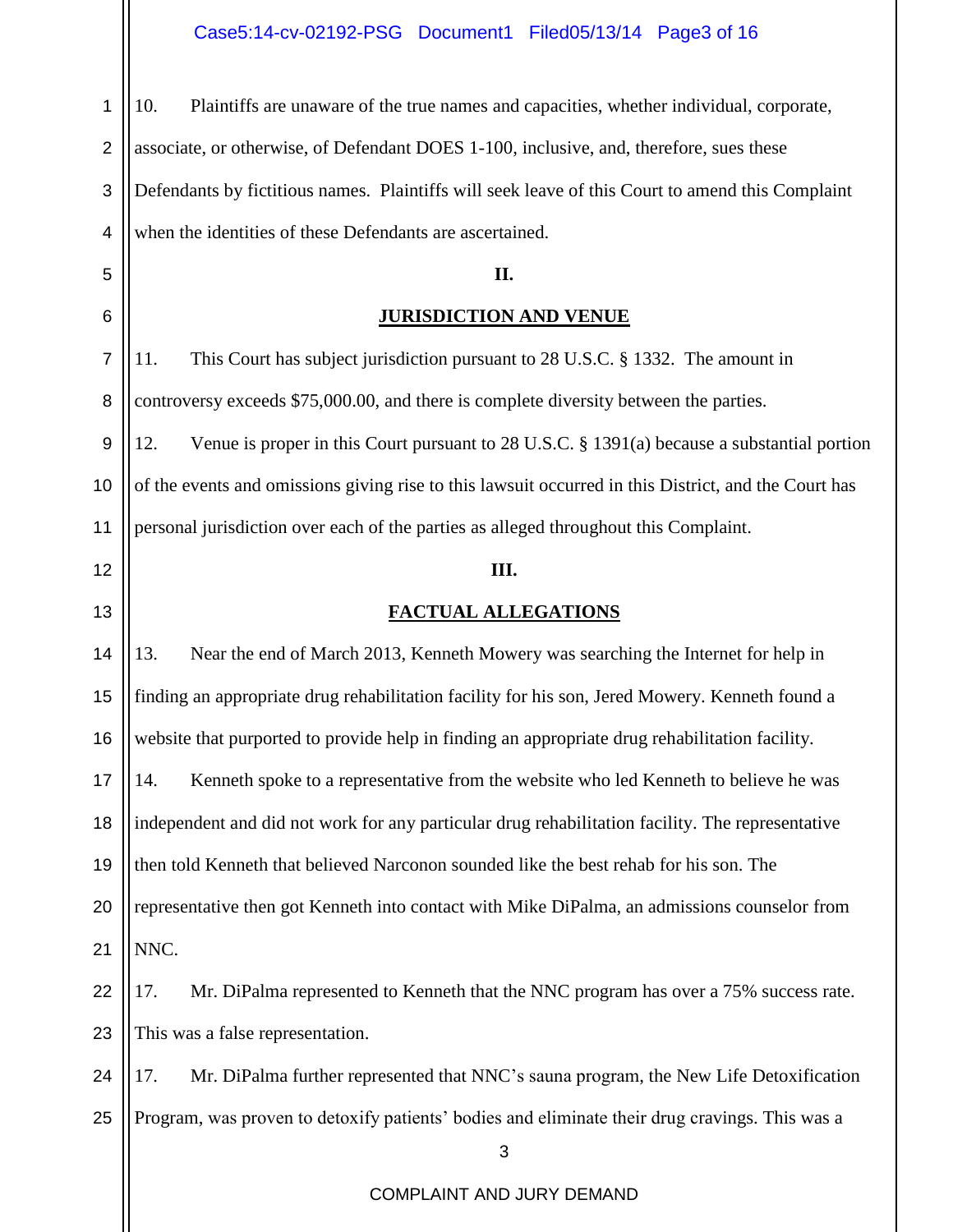Case5:14-cv-02192-PSG Document1 Filed05/13/14 Page3 of 16

3 COMPLAINT AND JURY DEMAND 1 2 3 4 5 6 7 8 9 10 11 12 13 14 15 16 17 18 19 20 21 22 23 24 25 10. Plaintiffs are unaware of the true names and capacities, whether individual, corporate, associate, or otherwise, of Defendant DOES 1-100, inclusive, and, therefore, sues these Defendants by fictitious names. Plaintiffs will seek leave of this Court to amend this Complaint when the identities of these Defendants are ascertained. **II. JURISDICTION AND VENUE** 11. This Court has subject jurisdiction pursuant to 28 U.S.C. § 1332. The amount in controversy exceeds \$75,000.00, and there is complete diversity between the parties. 12. Venue is proper in this Court pursuant to 28 U.S.C. § 1391(a) because a substantial portion of the events and omissions giving rise to this lawsuit occurred in this District, and the Court has personal jurisdiction over each of the parties as alleged throughout this Complaint. **III. FACTUAL ALLEGATIONS** 13. Near the end of March 2013, Kenneth Mowery was searching the Internet for help in finding an appropriate drug rehabilitation facility for his son, Jered Mowery. Kenneth found a website that purported to provide help in finding an appropriate drug rehabilitation facility. 14. Kenneth spoke to a representative from the website who led Kenneth to believe he was independent and did not work for any particular drug rehabilitation facility. The representative then told Kenneth that believed Narconon sounded like the best rehab for his son. The representative then got Kenneth into contact with Mike DiPalma, an admissions counselor from NNC. 17. Mr. DiPalma represented to Kenneth that the NNC program has over a 75% success rate. This was a false representation. 17. Mr. DiPalma further represented that NNC's sauna program, the New Life Detoxification Program, was proven to detoxify patients' bodies and eliminate their drug cravings. This was a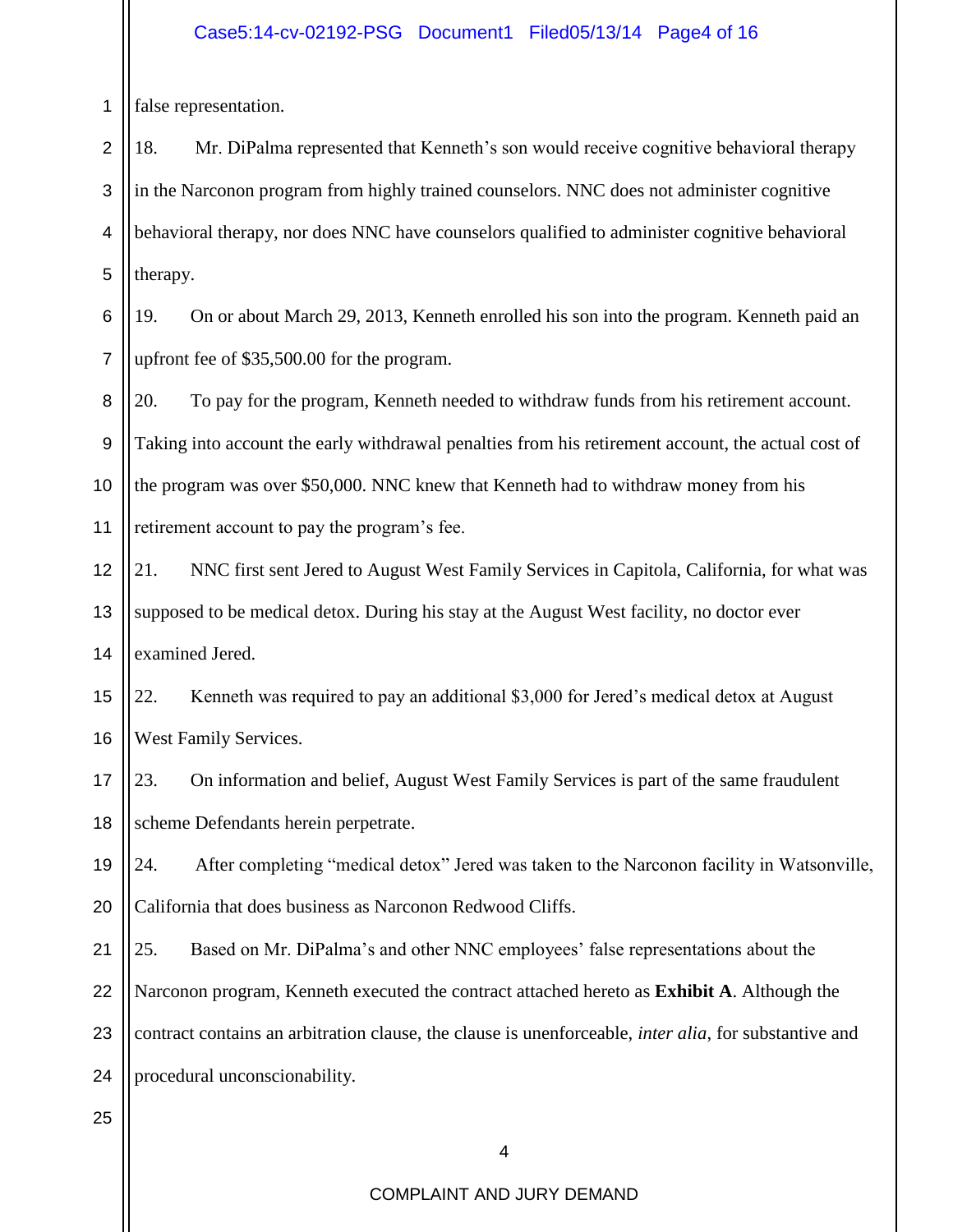#### Case5:14-cv-02192-PSG Document1 Filed05/13/14 Page4 of 16

1 false representation.

2 3 4 5 18. Mr. DiPalma represented that Kenneth's son would receive cognitive behavioral therapy in the Narconon program from highly trained counselors. NNC does not administer cognitive behavioral therapy, nor does NNC have counselors qualified to administer cognitive behavioral therapy.

6 7 19. On or about March 29, 2013, Kenneth enrolled his son into the program. Kenneth paid an upfront fee of \$35,500.00 for the program.

8 9 10 11 20. To pay for the program, Kenneth needed to withdraw funds from his retirement account. Taking into account the early withdrawal penalties from his retirement account, the actual cost of the program was over \$50,000. NNC knew that Kenneth had to withdraw money from his retirement account to pay the program's fee.

12 13 14 21. NNC first sent Jered to August West Family Services in Capitola, California, for what was supposed to be medical detox. During his stay at the August West facility, no doctor ever examined Jered.

15 16 22. Kenneth was required to pay an additional \$3,000 for Jered's medical detox at August West Family Services.

17 18 23. On information and belief, August West Family Services is part of the same fraudulent scheme Defendants herein perpetrate.

19 20 24. After completing "medical detox" Jered was taken to the Narconon facility in Watsonville, California that does business as Narconon Redwood Cliffs.

21 22 23 24 25. Based on Mr. DiPalma's and other NNC employees' false representations about the Narconon program, Kenneth executed the contract attached hereto as **Exhibit A**. Although the contract contains an arbitration clause, the clause is unenforceable, *inter alia*, for substantive and procedural unconscionability.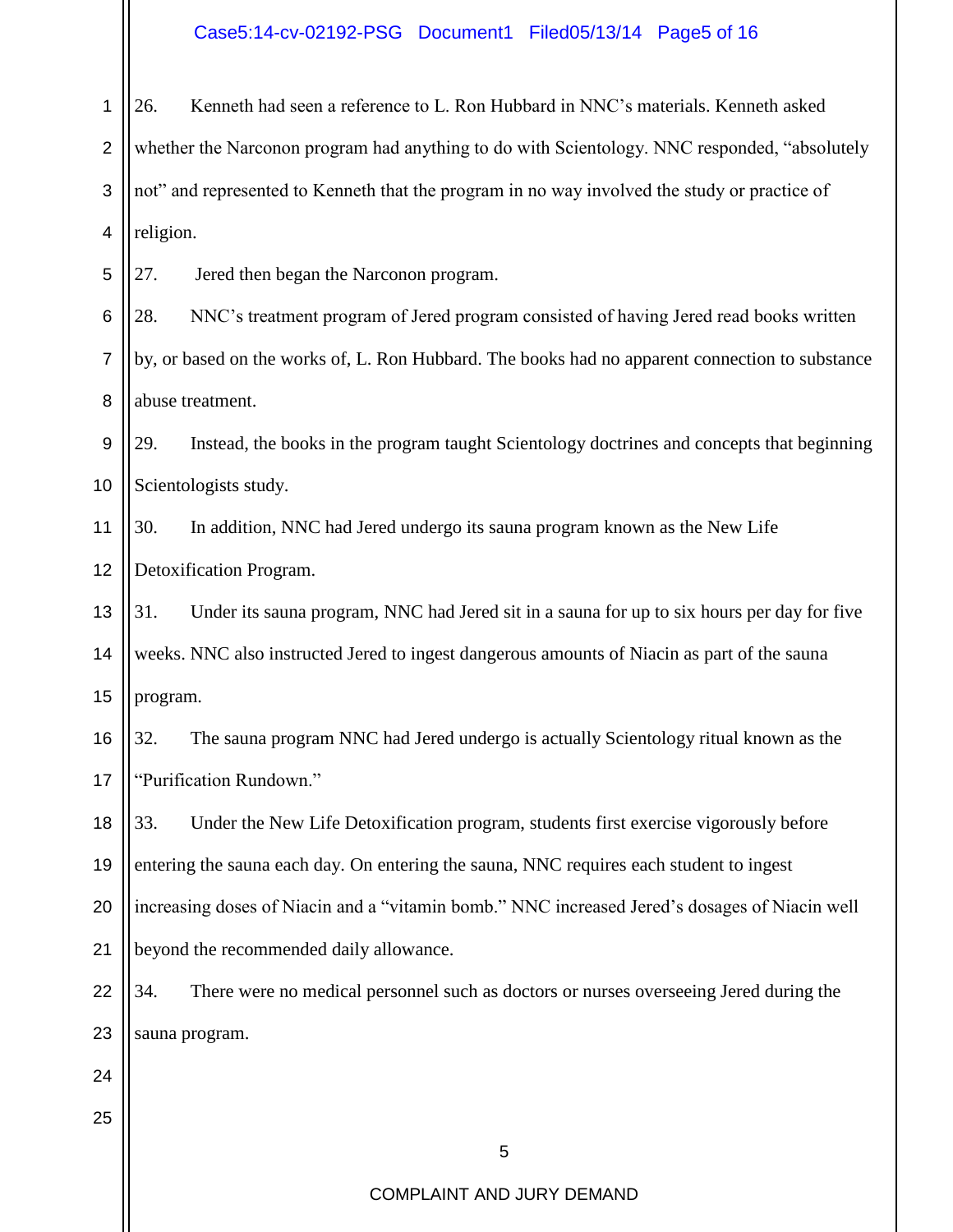#### Case5:14-cv-02192-PSG Document1 Filed05/13/14 Page5 of 16

1 2 3 4 26. Kenneth had seen a reference to L. Ron Hubbard in NNC's materials. Kenneth asked whether the Narconon program had anything to do with Scientology. NNC responded, "absolutely not" and represented to Kenneth that the program in no way involved the study or practice of religion.

5 27. Jered then began the Narconon program.

6 7 8 28. NNC's treatment program of Jered program consisted of having Jered read books written by, or based on the works of, L. Ron Hubbard. The books had no apparent connection to substance abuse treatment.

9 10 29. Instead, the books in the program taught Scientology doctrines and concepts that beginning Scientologists study.

11 12 30. In addition, NNC had Jered undergo its sauna program known as the New Life Detoxification Program.

13 14 15 31. Under its sauna program, NNC had Jered sit in a sauna for up to six hours per day for five weeks. NNC also instructed Jered to ingest dangerous amounts of Niacin as part of the sauna program.

16 17 32. The sauna program NNC had Jered undergo is actually Scientology ritual known as the "Purification Rundown."

18 19 20 21 33. Under the New Life Detoxification program, students first exercise vigorously before entering the sauna each day. On entering the sauna, NNC requires each student to ingest increasing doses of Niacin and a "vitamin bomb." NNC increased Jered's dosages of Niacin well beyond the recommended daily allowance.

22 23 34. There were no medical personnel such as doctors or nurses overseeing Jered during the sauna program.

24

25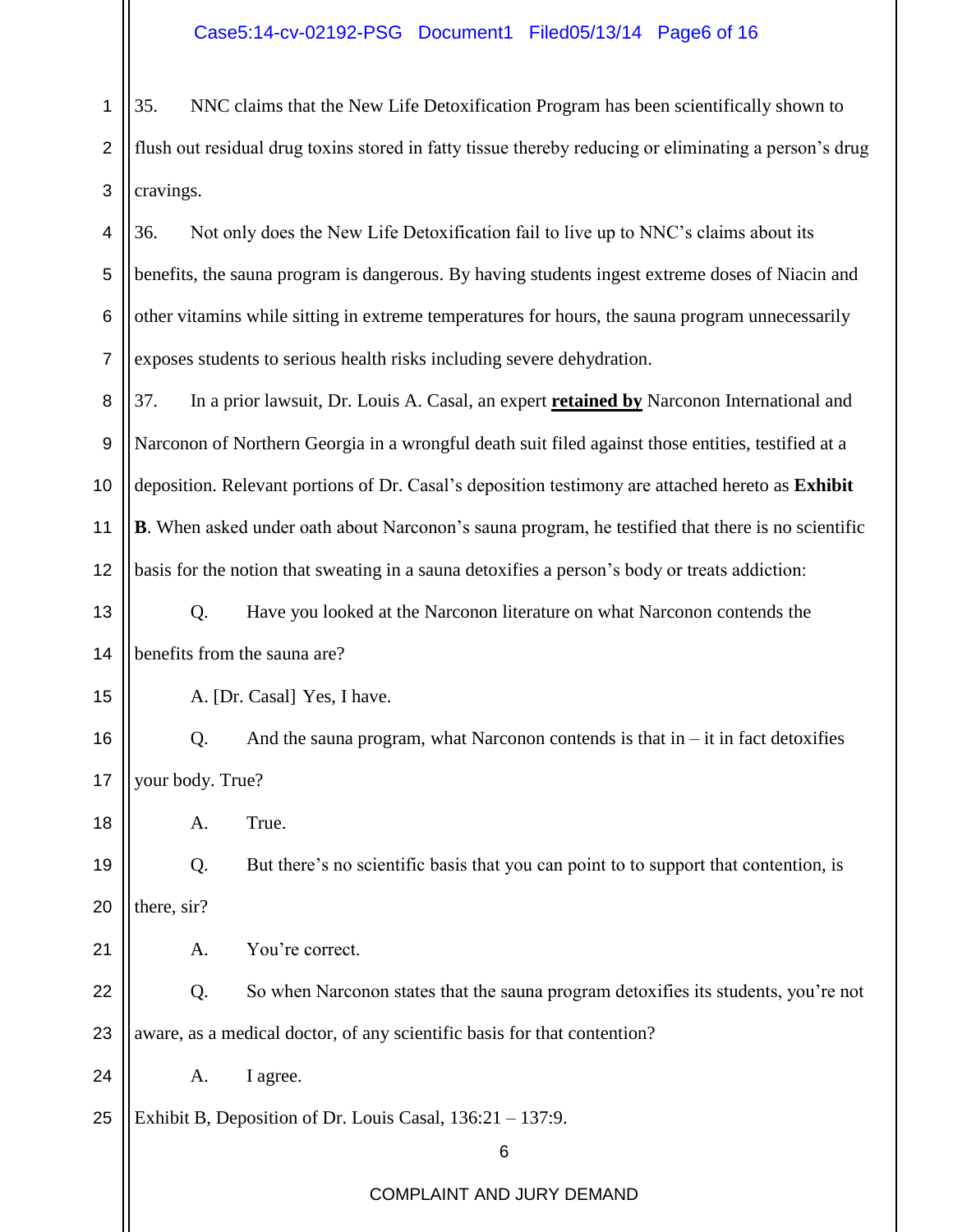#### Case5:14-cv-02192-PSG Document1 Filed05/13/14 Page6 of 16

1 2 3 35. NNC claims that the New Life Detoxification Program has been scientifically shown to flush out residual drug toxins stored in fatty tissue thereby reducing or eliminating a person's drug cravings.

4 5 6 7 8 9 10 11 12 13 14 15 16 17 36. Not only does the New Life Detoxification fail to live up to NNC's claims about its benefits, the sauna program is dangerous. By having students ingest extreme doses of Niacin and other vitamins while sitting in extreme temperatures for hours, the sauna program unnecessarily exposes students to serious health risks including severe dehydration. 37. In a prior lawsuit, Dr. Louis A. Casal, an expert **retained by** Narconon International and Narconon of Northern Georgia in a wrongful death suit filed against those entities, testified at a deposition. Relevant portions of Dr. Casal's deposition testimony are attached hereto as **Exhibit B**. When asked under oath about Narconon's sauna program, he testified that there is no scientific basis for the notion that sweating in a sauna detoxifies a person's body or treats addiction: Q. Have you looked at the Narconon literature on what Narconon contends the benefits from the sauna are? A. [Dr. Casal] Yes, I have. Q. And the sauna program, what Narconon contends is that  $in - it$  in fact detoxifies your body. True?

A. True.

18

21

19 20 Q. But there's no scientific basis that you can point to to support that contention, is there, sir?

A. You're correct.

22 23 Q. So when Narconon states that the sauna program detoxifies its students, you're not aware, as a medical doctor, of any scientific basis for that contention?

24 A. I agree.

25 Exhibit B, Deposition of Dr. Louis Casal, 136:21 – 137:9.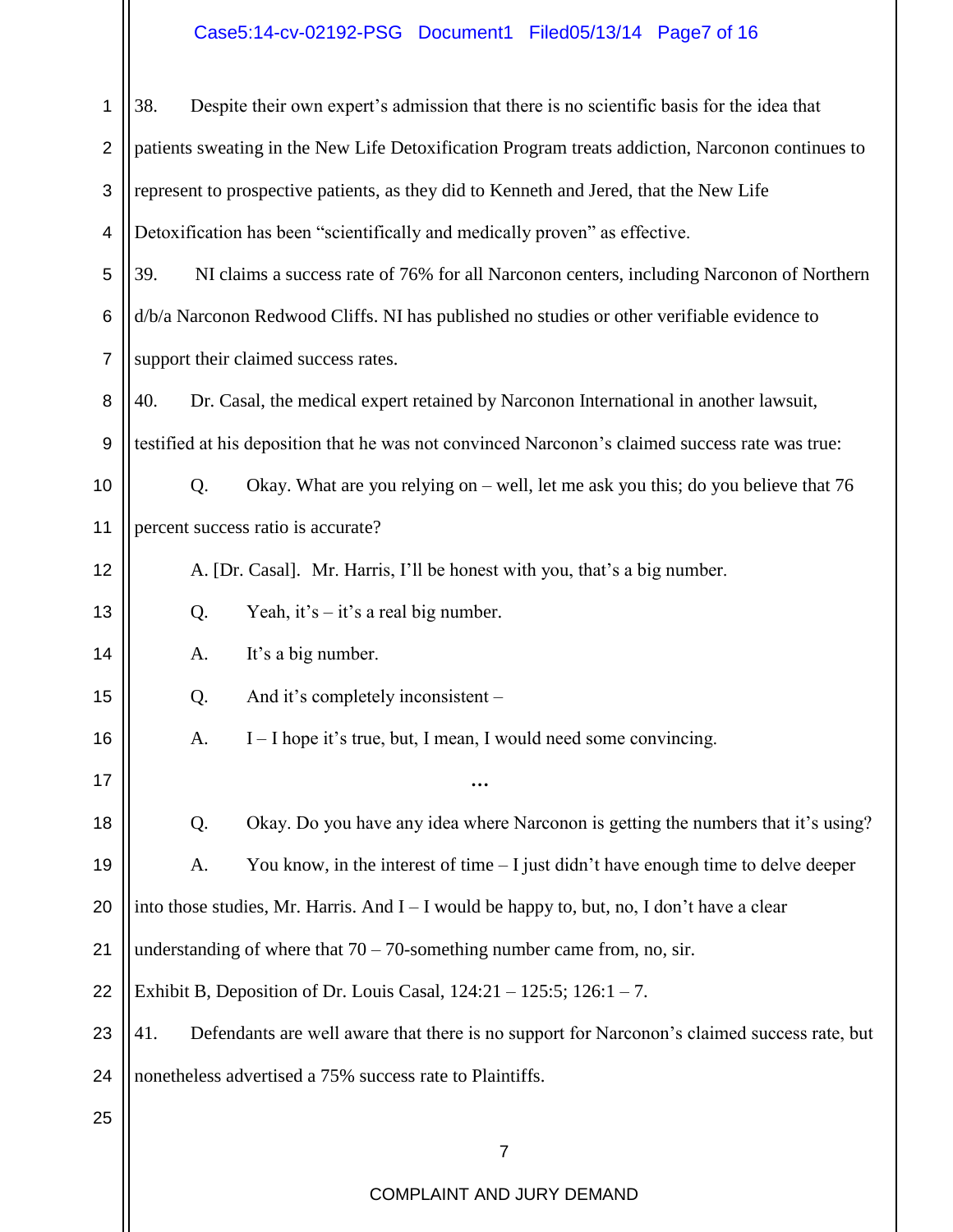## Case5:14-cv-02192-PSG Document1 Filed05/13/14 Page7 of 16

| 1              | 38.<br>Despite their own expert's admission that there is no scientific basis for the idea that    |  |
|----------------|----------------------------------------------------------------------------------------------------|--|
| $\overline{2}$ | patients sweating in the New Life Detoxification Program treats addiction, Narconon continues to   |  |
| 3              | represent to prospective patients, as they did to Kenneth and Jered, that the New Life             |  |
| 4              | Detoxification has been "scientifically and medically proven" as effective.                        |  |
| 5              | 39.<br>NI claims a success rate of 76% for all Narconon centers, including Narconon of Northern    |  |
| 6              | d/b/a Narconon Redwood Cliffs. NI has published no studies or other verifiable evidence to         |  |
| $\overline{7}$ | support their claimed success rates.                                                               |  |
| 8              | 40.<br>Dr. Casal, the medical expert retained by Narconon International in another lawsuit,        |  |
| 9              | testified at his deposition that he was not convinced Narconon's claimed success rate was true:    |  |
| 10             | Okay. What are you relying on – well, let me ask you this; do you believe that 76<br>Q.            |  |
| 11             | percent success ratio is accurate?                                                                 |  |
| 12             | A. [Dr. Casal]. Mr. Harris, I'll be honest with you, that's a big number.                          |  |
| 13             | Yeah, it's $-$ it's a real big number.<br>Q.                                                       |  |
| 14             | It's a big number.<br>A.                                                                           |  |
| 15             | And it's completely inconsistent –<br>Q.                                                           |  |
| 16             | I – I hope it's true, but, I mean, I would need some convincing.<br>A.                             |  |
| 17             | $\cdots$                                                                                           |  |
| 18             | Okay. Do you have any idea where Narconon is getting the numbers that it's using?<br>Q.            |  |
| 19             | You know, in the interest of time $-1$ just didn't have enough time to delve deeper<br>A.          |  |
| 20             | into those studies, Mr. Harris. And $I - I$ would be happy to, but, no, I don't have a clear       |  |
| 21             | understanding of where that $70 - 70$ -something number came from, no, sir.                        |  |
| 22             | Exhibit B, Deposition of Dr. Louis Casal, $124:21 - 125:5$ ; $126:1 - 7$ .                         |  |
| 23             | 41.<br>Defendants are well aware that there is no support for Narconon's claimed success rate, but |  |
| 24             | nonetheless advertised a 75% success rate to Plaintiffs.                                           |  |
| 25             |                                                                                                    |  |
|                | $\overline{7}$                                                                                     |  |
|                | COMPLAINT AND JURY DEMAND                                                                          |  |

 $\parallel$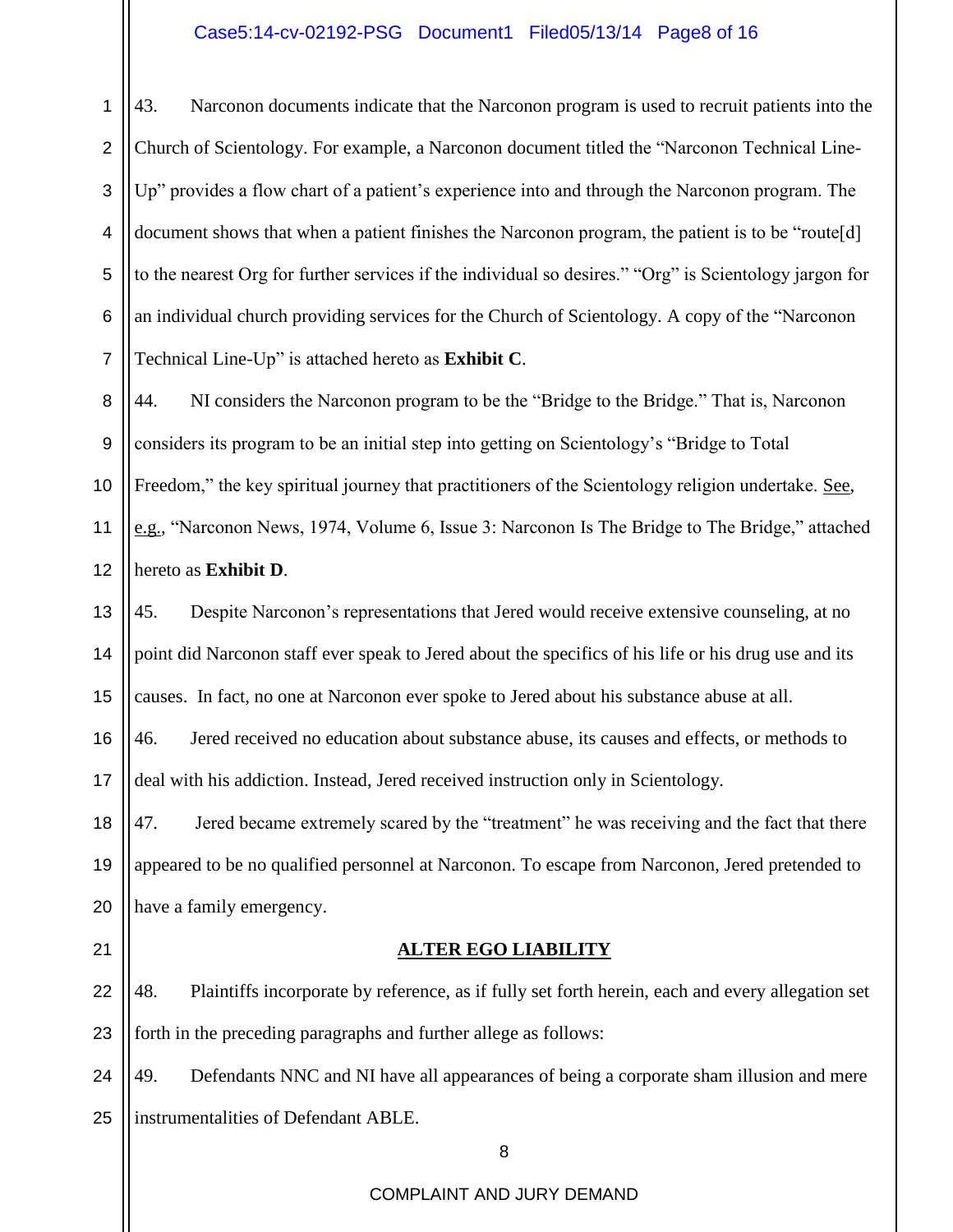#### Case5:14-cv-02192-PSG Document1 Filed05/13/14 Page8 of 16

2 3 4 5 6 7 Church of Scientology. For example, a Narconon document titled the "Narconon Technical Line-Up" provides a flow chart of a patient's experience into and through the Narconon program. The document shows that when a patient finishes the Narconon program, the patient is to be "route[d] to the nearest Org for further services if the individual so desires." "Org" is Scientology jargon for an individual church providing services for the Church of Scientology. A copy of the "Narconon Technical Line-Up" is attached hereto as **Exhibit C**.

8 9 10 11 12 44. NI considers the Narconon program to be the "Bridge to the Bridge." That is, Narconon considers its program to be an initial step into getting on Scientology's "Bridge to Total Freedom," the key spiritual journey that practitioners of the Scientology religion undertake. See, e.g., "Narconon News, 1974, Volume 6, Issue 3: Narconon Is The Bridge to The Bridge," attached hereto as **Exhibit D**.

13 14 15 45. Despite Narconon's representations that Jered would receive extensive counseling, at no point did Narconon staff ever speak to Jered about the specifics of his life or his drug use and its causes. In fact, no one at Narconon ever spoke to Jered about his substance abuse at all.

16 17 46. Jered received no education about substance abuse, its causes and effects, or methods to deal with his addiction. Instead, Jered received instruction only in Scientology.

18 19 20 47. Jered became extremely scared by the "treatment" he was receiving and the fact that there appeared to be no qualified personnel at Narconon. To escape from Narconon, Jered pretended to have a family emergency.

21

1

#### **ALTER EGO LIABILITY**

22 23 48. Plaintiffs incorporate by reference, as if fully set forth herein, each and every allegation set forth in the preceding paragraphs and further allege as follows:

24 25 49. Defendants NNC and NI have all appearances of being a corporate sham illusion and mere instrumentalities of Defendant ABLE.

8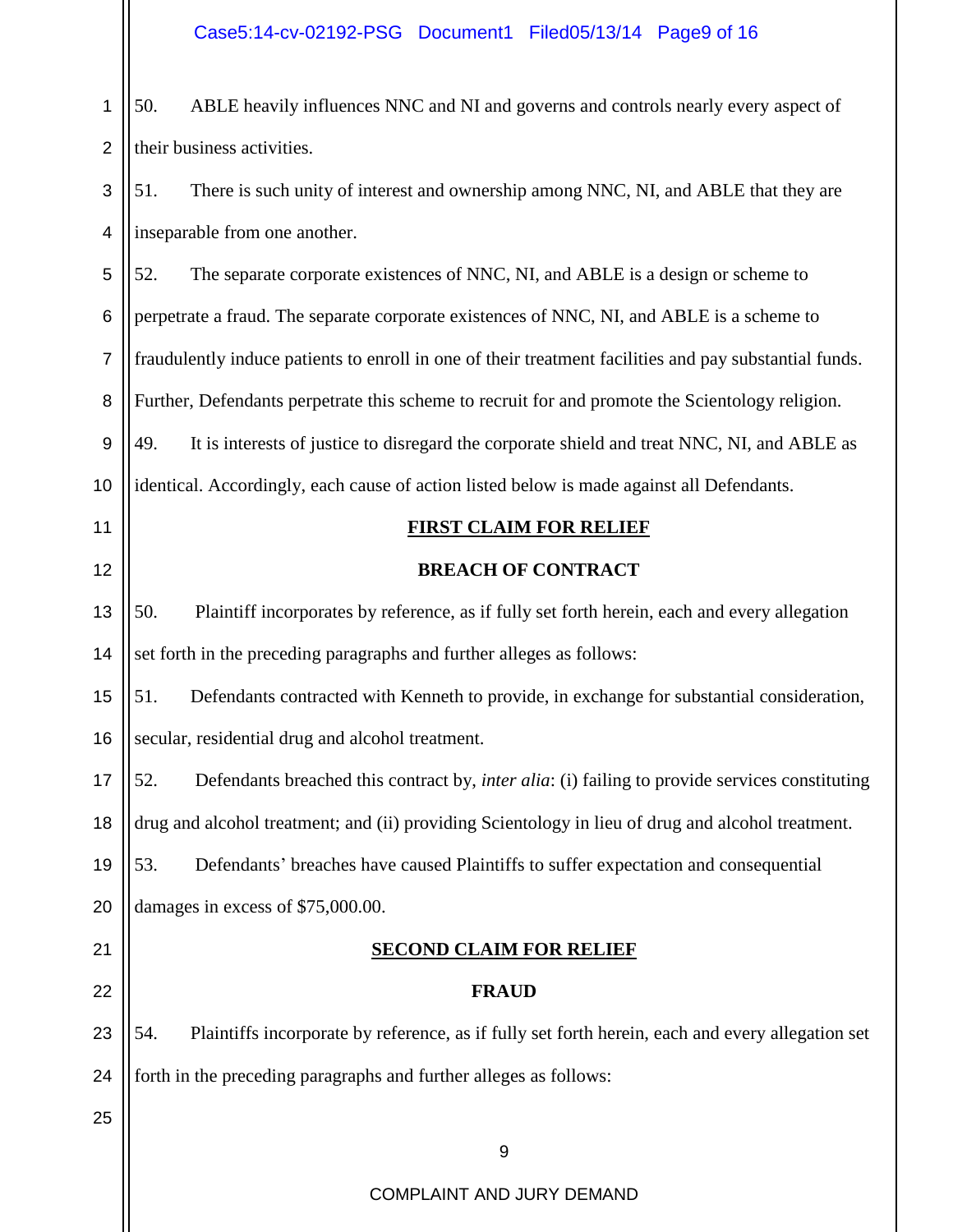Case5:14-cv-02192-PSG Document1 Filed05/13/14 Page9 of 16

1 2 50. ABLE heavily influences NNC and NI and governs and controls nearly every aspect of their business activities.

3 4 51. There is such unity of interest and ownership among NNC, NI, and ABLE that they are inseparable from one another.

5 6 7 8 9 10 52. The separate corporate existences of NNC, NI, and ABLE is a design or scheme to perpetrate a fraud. The separate corporate existences of NNC, NI, and ABLE is a scheme to fraudulently induce patients to enroll in one of their treatment facilities and pay substantial funds. Further, Defendants perpetrate this scheme to recruit for and promote the Scientology religion. 49. It is interests of justice to disregard the corporate shield and treat NNC, NI, and ABLE as identical. Accordingly, each cause of action listed below is made against all Defendants.

11

12

#### **FIRST CLAIM FOR RELIEF**

#### **BREACH OF CONTRACT**

13 14 50. Plaintiff incorporates by reference, as if fully set forth herein, each and every allegation set forth in the preceding paragraphs and further alleges as follows:

15 16 51. Defendants contracted with Kenneth to provide, in exchange for substantial consideration, secular, residential drug and alcohol treatment.

17 18 52. Defendants breached this contract by, *inter alia*: (i) failing to provide services constituting drug and alcohol treatment; and (ii) providing Scientology in lieu of drug and alcohol treatment.

19 53. Defendants' breaches have caused Plaintiffs to suffer expectation and consequential

20 damages in excess of \$75,000.00.

21

22

#### **SECOND CLAIM FOR RELIEF**

#### **FRAUD**

23 24 54. Plaintiffs incorporate by reference, as if fully set forth herein, each and every allegation set forth in the preceding paragraphs and further alleges as follows:

25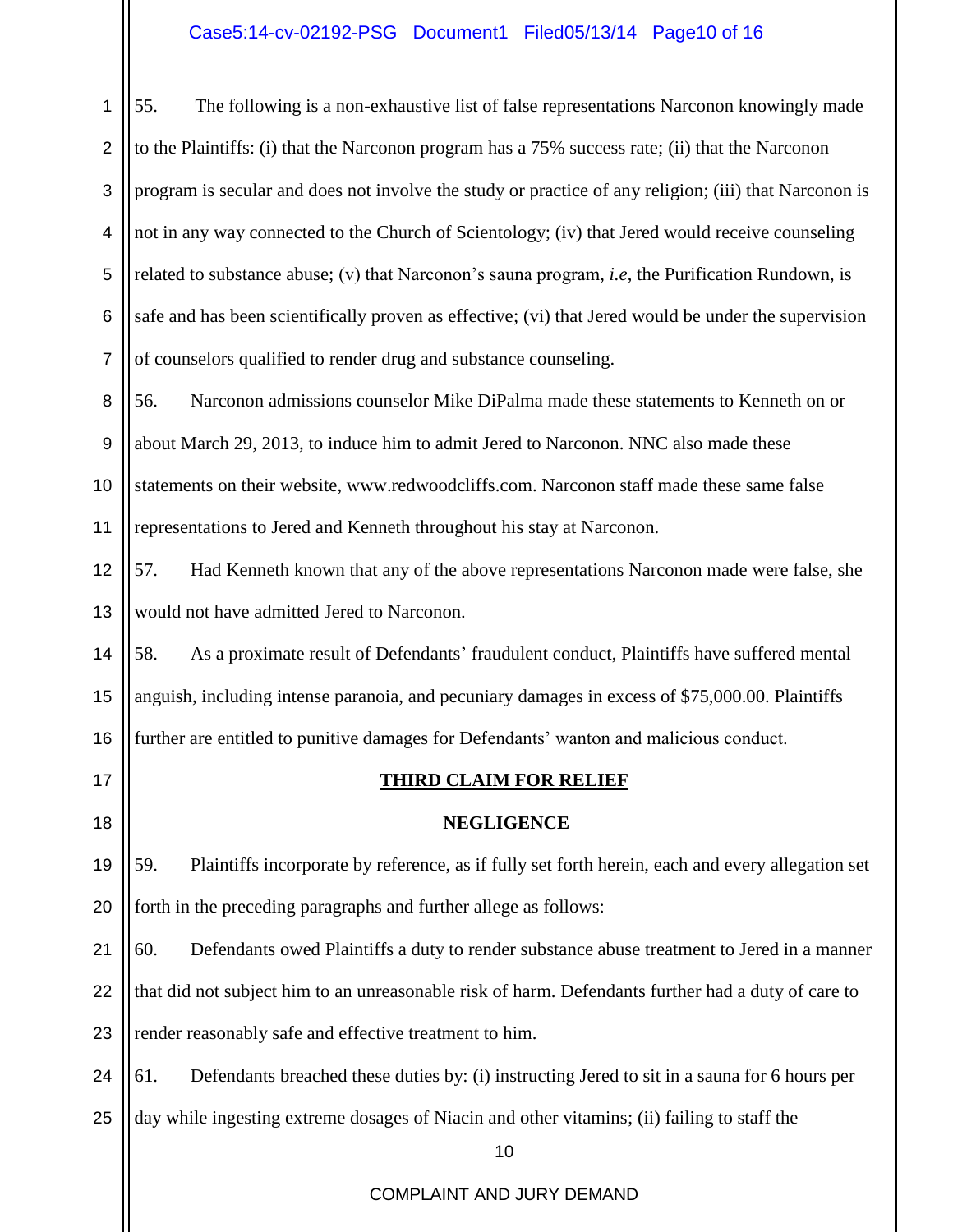# Case5:14-cv-02192-PSG Document1 Filed05/13/14 Page10 of 16

| 1              | 55.<br>The following is a non-exhaustive list of false representations Narconon knowingly made           |  |
|----------------|----------------------------------------------------------------------------------------------------------|--|
| $\overline{2}$ | to the Plaintiffs: (i) that the Narconon program has a 75% success rate; (ii) that the Narconon          |  |
| 3              | program is secular and does not involve the study or practice of any religion; (iii) that Narconon is    |  |
| 4              | not in any way connected to the Church of Scientology; (iv) that Jered would receive counseling          |  |
| 5              | related to substance abuse; (v) that Narconon's sauna program, <i>i.e</i> , the Purification Rundown, is |  |
| 6              | safe and has been scientifically proven as effective; (vi) that Jered would be under the supervision     |  |
| $\overline{7}$ | of counselors qualified to render drug and substance counseling.                                         |  |
| 8              | 56.<br>Narconon admissions counselor Mike DiPalma made these statements to Kenneth on or                 |  |
| 9              | about March 29, 2013, to induce him to admit Jered to Narconon. NNC also made these                      |  |
| 10             | statements on their website, www.redwoodcliffs.com. Narconon staff made these same false                 |  |
| 11             | representations to Jered and Kenneth throughout his stay at Narconon.                                    |  |
| 12             | Had Kenneth known that any of the above representations Narconon made were false, she<br>57.             |  |
| 13             | would not have admitted Jered to Narconon.                                                               |  |
| 14             | 58.<br>As a proximate result of Defendants' fraudulent conduct, Plaintiffs have suffered mental          |  |
| 15             | anguish, including intense paranoia, and pecuniary damages in excess of \$75,000.00. Plaintiffs          |  |
| 16             | further are entitled to punitive damages for Defendants' wanton and malicious conduct.                   |  |
| 17             | <b>THIRD CLAIM FOR RELIEF</b>                                                                            |  |
| 18             | <b>NEGLIGENCE</b>                                                                                        |  |
| 19             | 59.<br>Plaintiffs incorporate by reference, as if fully set forth herein, each and every allegation set  |  |
| 20             | forth in the preceding paragraphs and further allege as follows:                                         |  |
| 21             | 60.<br>Defendants owed Plaintiffs a duty to render substance abuse treatment to Jered in a manner        |  |
| 22             | that did not subject him to an unreasonable risk of harm. Defendants further had a duty of care to       |  |
| 23             | render reasonably safe and effective treatment to him.                                                   |  |
| 24             | Defendants breached these duties by: (i) instructing Jered to sit in a sauna for 6 hours per<br>61.      |  |
| 25             | day while ingesting extreme dosages of Niacin and other vitamins; (ii) failing to staff the              |  |
|                |                                                                                                          |  |
|                | 10                                                                                                       |  |
|                | COMPLAINT AND JURY DEMAND                                                                                |  |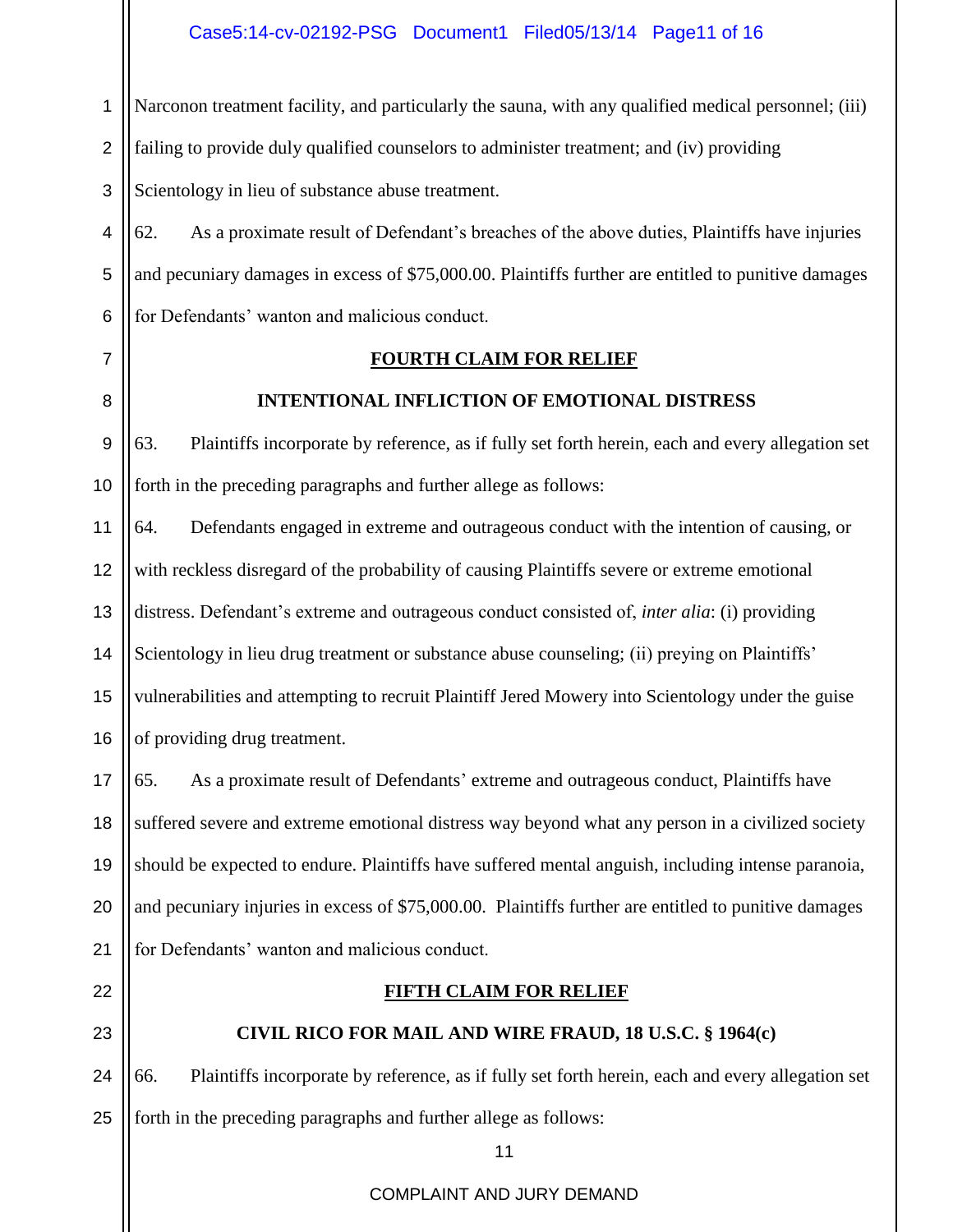1 Narconon treatment facility, and particularly the sauna, with any qualified medical personnel; (iii)

2 failing to provide duly qualified counselors to administer treatment; and (iv) providing

3 Scientology in lieu of substance abuse treatment.

4 5 6 62. As a proximate result of Defendant's breaches of the above duties, Plaintiffs have injuries and pecuniary damages in excess of \$75,000.00. Plaintiffs further are entitled to punitive damages for Defendants' wanton and malicious conduct.

7

8

#### **FOURTH CLAIM FOR RELIEF**

#### **INTENTIONAL INFLICTION OF EMOTIONAL DISTRESS**

9 10 63. Plaintiffs incorporate by reference, as if fully set forth herein, each and every allegation set forth in the preceding paragraphs and further allege as follows:

11 12 13 14 15 16 64. Defendants engaged in extreme and outrageous conduct with the intention of causing, or with reckless disregard of the probability of causing Plaintiffs severe or extreme emotional distress. Defendant's extreme and outrageous conduct consisted of, *inter alia*: (i) providing Scientology in lieu drug treatment or substance abuse counseling; (ii) preying on Plaintiffs' vulnerabilities and attempting to recruit Plaintiff Jered Mowery into Scientology under the guise of providing drug treatment.

17 18 19 20 21 65. As a proximate result of Defendants' extreme and outrageous conduct, Plaintiffs have suffered severe and extreme emotional distress way beyond what any person in a civilized society should be expected to endure. Plaintiffs have suffered mental anguish, including intense paranoia, and pecuniary injuries in excess of \$75,000.00. Plaintiffs further are entitled to punitive damages for Defendants' wanton and malicious conduct.

22

23

#### **CIVIL RICO FOR MAIL AND WIRE FRAUD, 18 U.S.C. § 1964(c)**

**FIFTH CLAIM FOR RELIEF**

24 25 66. Plaintiffs incorporate by reference, as if fully set forth herein, each and every allegation set forth in the preceding paragraphs and further allege as follows:

11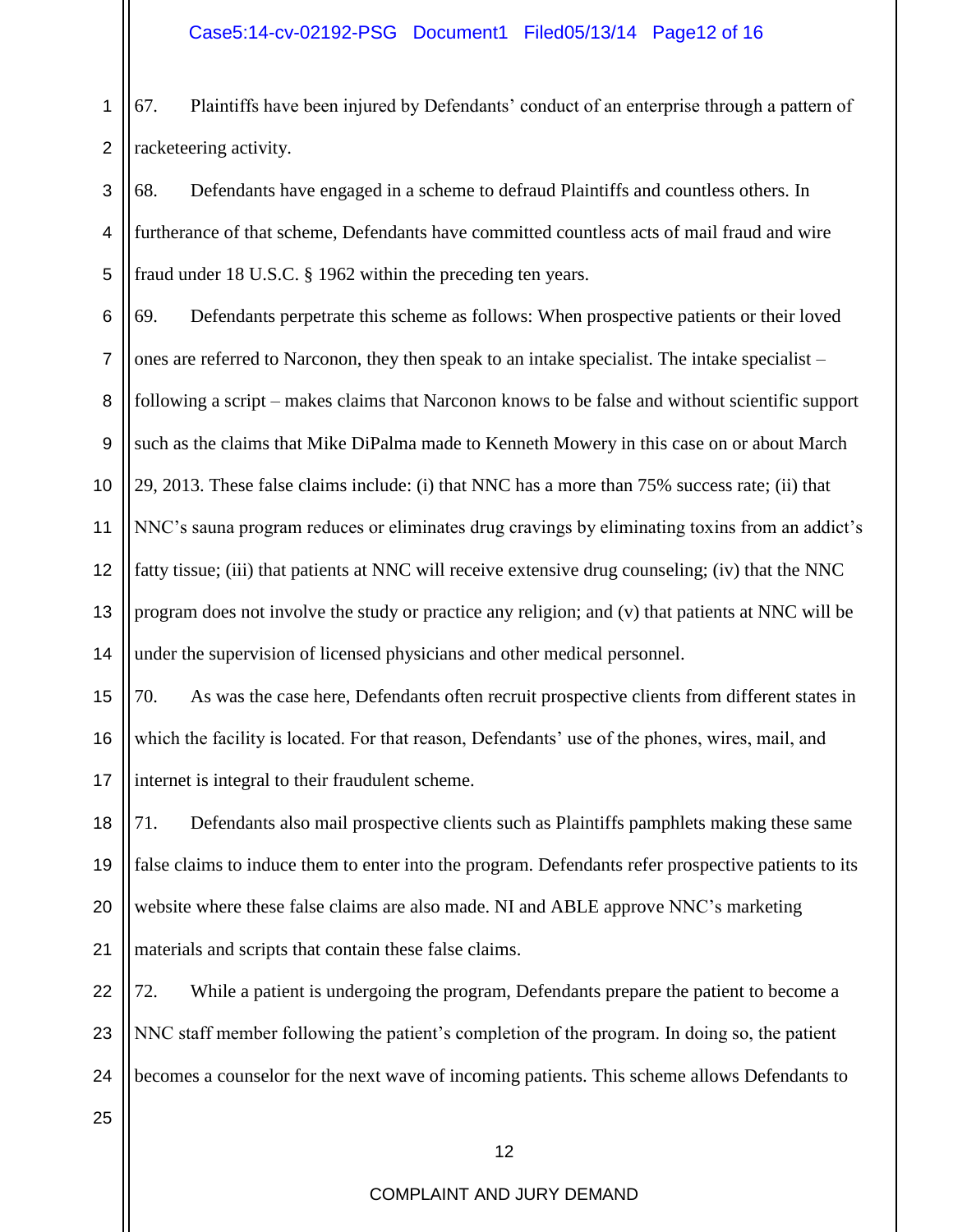#### Case5:14-cv-02192-PSG Document1 Filed05/13/14 Page12 of 16

1 2 67. Plaintiffs have been injured by Defendants' conduct of an enterprise through a pattern of racketeering activity.

3 4 5 68. Defendants have engaged in a scheme to defraud Plaintiffs and countless others. In furtherance of that scheme, Defendants have committed countless acts of mail fraud and wire fraud under 18 U.S.C. § 1962 within the preceding ten years.

6 7 8 9 10 11 12 13 14 69. Defendants perpetrate this scheme as follows: When prospective patients or their loved ones are referred to Narconon, they then speak to an intake specialist. The intake specialist – following a script – makes claims that Narconon knows to be false and without scientific support such as the claims that Mike DiPalma made to Kenneth Mowery in this case on or about March 29, 2013. These false claims include: (i) that NNC has a more than 75% success rate; (ii) that NNC's sauna program reduces or eliminates drug cravings by eliminating toxins from an addict's fatty tissue; (iii) that patients at NNC will receive extensive drug counseling; (iv) that the NNC program does not involve the study or practice any religion; and (v) that patients at NNC will be under the supervision of licensed physicians and other medical personnel.

15 16 17 70. As was the case here, Defendants often recruit prospective clients from different states in which the facility is located. For that reason, Defendants' use of the phones, wires, mail, and internet is integral to their fraudulent scheme.

18 19 20 21 71. Defendants also mail prospective clients such as Plaintiffs pamphlets making these same false claims to induce them to enter into the program. Defendants refer prospective patients to its website where these false claims are also made. NI and ABLE approve NNC's marketing materials and scripts that contain these false claims.

22 23 24 72. While a patient is undergoing the program, Defendants prepare the patient to become a NNC staff member following the patient's completion of the program. In doing so, the patient becomes a counselor for the next wave of incoming patients. This scheme allows Defendants to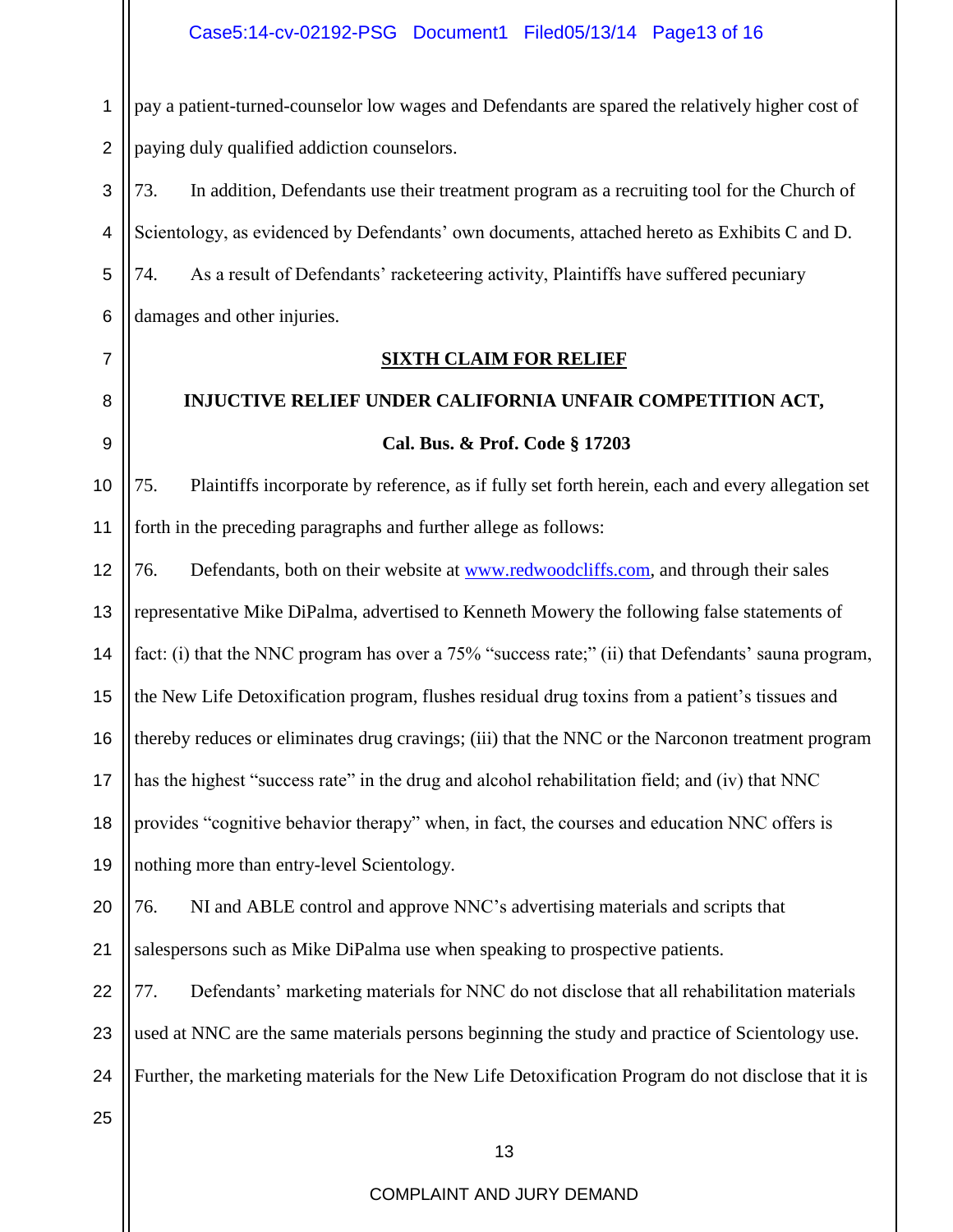1 2 pay a patient-turned-counselor low wages and Defendants are spared the relatively higher cost of paying duly qualified addiction counselors.

3 4 5 6 73. In addition, Defendants use their treatment program as a recruiting tool for the Church of Scientology, as evidenced by Defendants' own documents, attached hereto as Exhibits C and D. 74. As a result of Defendants' racketeering activity, Plaintiffs have suffered pecuniary damages and other injuries.

7 8

9

#### **SIXTH CLAIM FOR RELIEF**

## **INJUCTIVE RELIEF UNDER CALIFORNIA UNFAIR COMPETITION ACT, Cal. Bus. & Prof. Code § 17203**

10 11 75. Plaintiffs incorporate by reference, as if fully set forth herein, each and every allegation set forth in the preceding paragraphs and further allege as follows:

12 13 14 15 16 17 18 19 76. Defendants, both on their website at [www.redwoodcliffs.com,](http://www.redwoodcliffs.com/) and through their sales representative Mike DiPalma, advertised to Kenneth Mowery the following false statements of fact: (i) that the NNC program has over a 75% "success rate;" (ii) that Defendants' sauna program, the New Life Detoxification program, flushes residual drug toxins from a patient's tissues and thereby reduces or eliminates drug cravings; (iii) that the NNC or the Narconon treatment program has the highest "success rate" in the drug and alcohol rehabilitation field; and (iv) that NNC provides "cognitive behavior therapy" when, in fact, the courses and education NNC offers is nothing more than entry-level Scientology.

#### 20 21 76. NI and ABLE control and approve NNC's advertising materials and scripts that salespersons such as Mike DiPalma use when speaking to prospective patients.

22 23 24 77. Defendants' marketing materials for NNC do not disclose that all rehabilitation materials used at NNC are the same materials persons beginning the study and practice of Scientology use. Further, the marketing materials for the New Life Detoxification Program do not disclose that it is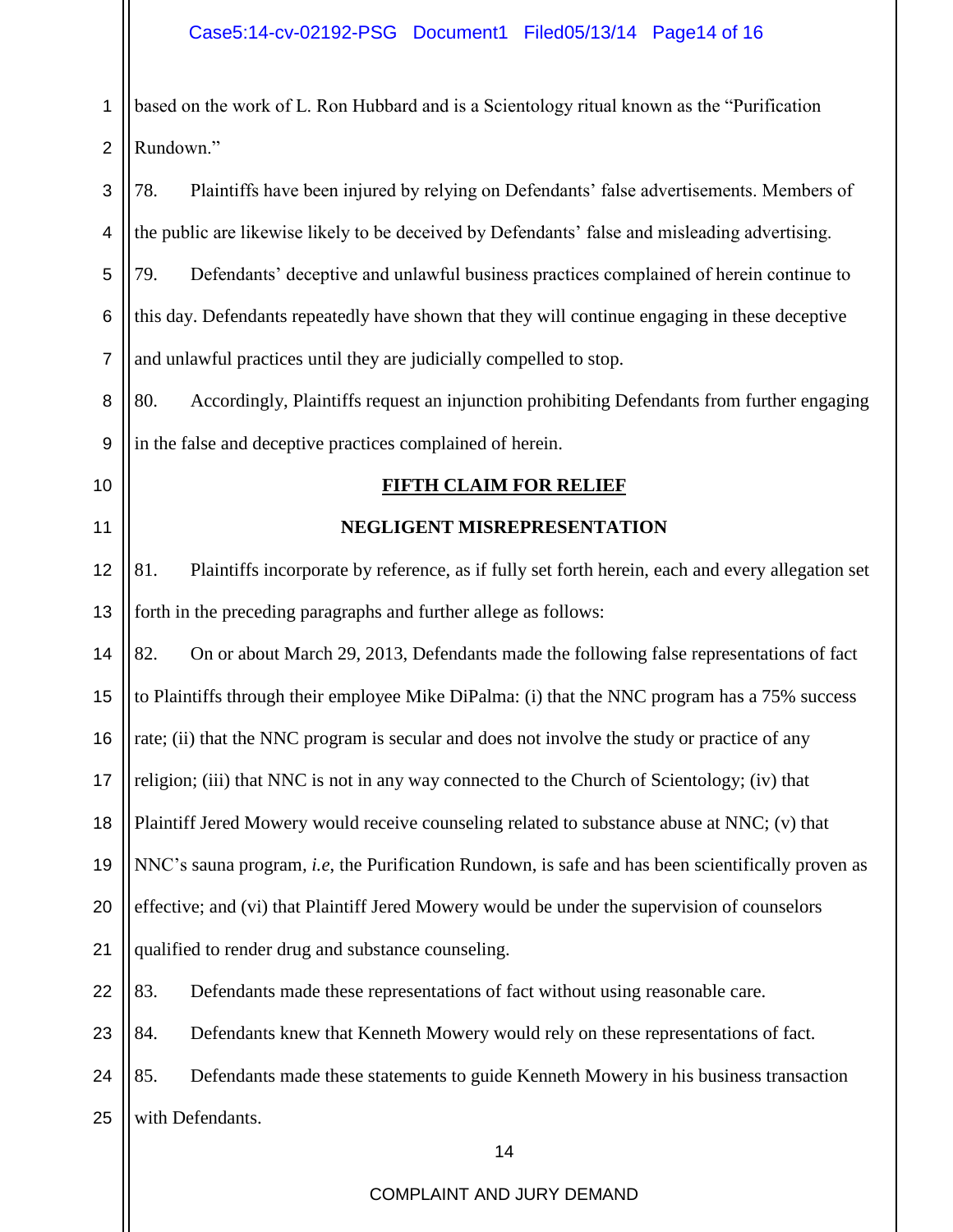| 1              | based on the work of L. Ron Hubbard and is a Scientology ritual known as the "Purification              |  |
|----------------|---------------------------------------------------------------------------------------------------------|--|
| $\overline{2}$ | Rundown."                                                                                               |  |
| 3              | Plaintiffs have been injured by relying on Defendants' false advertisements. Members of<br>78.          |  |
| 4              | the public are likewise likely to be deceived by Defendants' false and misleading advertising.          |  |
| 5              | Defendants' deceptive and unlawful business practices complained of herein continue to<br>79.           |  |
| 6              | this day. Defendants repeatedly have shown that they will continue engaging in these deceptive          |  |
| $\overline{7}$ | and unlawful practices until they are judicially compelled to stop.                                     |  |
| 8              | Accordingly, Plaintiffs request an injunction prohibiting Defendants from further engaging<br>80.       |  |
| 9              | in the false and deceptive practices complained of herein.                                              |  |
| 10             | <b>FIFTH CLAIM FOR RELIEF</b>                                                                           |  |
| 11             | NEGLIGENT MISREPRESENTATION                                                                             |  |
| 12             | Plaintiffs incorporate by reference, as if fully set forth herein, each and every allegation set<br>81. |  |
| 13             | forth in the preceding paragraphs and further allege as follows:                                        |  |
| 14             | 82.<br>On or about March 29, 2013, Defendants made the following false representations of fact          |  |
| 15             | to Plaintiffs through their employee Mike DiPalma: (i) that the NNC program has a 75% success           |  |
| 16             | rate; (ii) that the NNC program is secular and does not involve the study or practice of any            |  |
| 17             | religion; (iii) that NNC is not in any way connected to the Church of Scientology; (iv) that            |  |
| 18             | Plaintiff Jered Mowery would receive counseling related to substance abuse at NNC; (v) that             |  |
| 19             | NNC's sauna program, i.e, the Purification Rundown, is safe and has been scientifically proven as       |  |
| 20             | effective; and (vi) that Plaintiff Jered Mowery would be under the supervision of counselors            |  |
| 21             | qualified to render drug and substance counseling.                                                      |  |
| 22             | 83.<br>Defendants made these representations of fact without using reasonable care.                     |  |
| 23             | 84.<br>Defendants knew that Kenneth Mowery would rely on these representations of fact.                 |  |
| 24             | 85.<br>Defendants made these statements to guide Kenneth Mowery in his business transaction             |  |
| 25             | with Defendants.                                                                                        |  |
|                | 14                                                                                                      |  |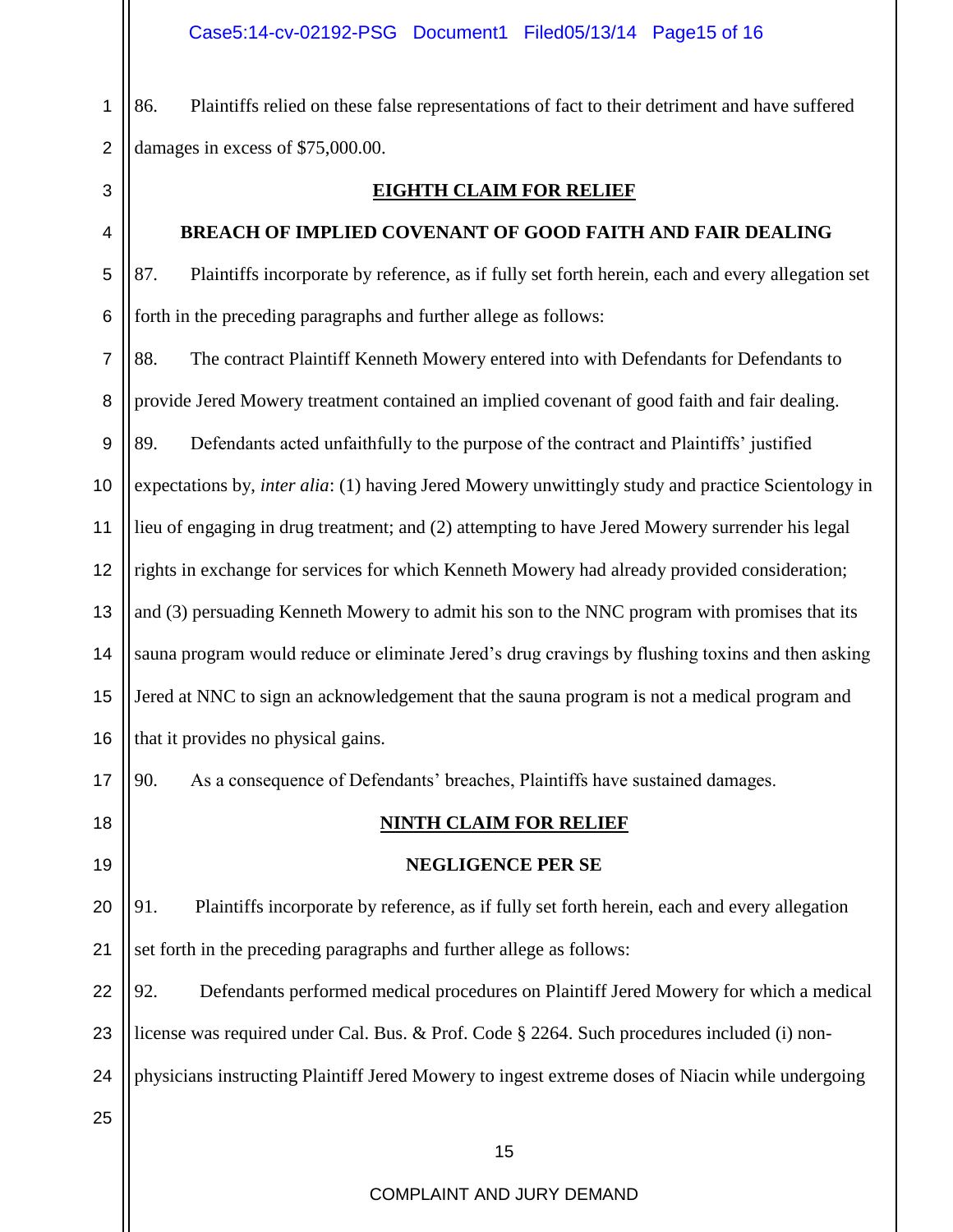1 2 86. Plaintiffs relied on these false representations of fact to their detriment and have suffered damages in excess of \$75,000.00.

3

## 4

# **EIGHTH CLAIM FOR RELIEF**

### **BREACH OF IMPLIED COVENANT OF GOOD FAITH AND FAIR DEALING**

5 6 87. Plaintiffs incorporate by reference, as if fully set forth herein, each and every allegation set forth in the preceding paragraphs and further allege as follows:

7 8 9 10 11 12 13 14 15 16 88. The contract Plaintiff Kenneth Mowery entered into with Defendants for Defendants to provide Jered Mowery treatment contained an implied covenant of good faith and fair dealing. 89. Defendants acted unfaithfully to the purpose of the contract and Plaintiffs' justified expectations by, *inter alia*: (1) having Jered Mowery unwittingly study and practice Scientology in lieu of engaging in drug treatment; and (2) attempting to have Jered Mowery surrender his legal rights in exchange for services for which Kenneth Mowery had already provided consideration; and (3) persuading Kenneth Mowery to admit his son to the NNC program with promises that its sauna program would reduce or eliminate Jered's drug cravings by flushing toxins and then asking Jered at NNC to sign an acknowledgement that the sauna program is not a medical program and that it provides no physical gains.

90. As a consequence of Defendants' breaches, Plaintiffs have sustained damages.

17

18

19

### **NINTH CLAIM FOR RELIEF**

#### **NEGLIGENCE PER SE**

20 21 91. Plaintiffs incorporate by reference, as if fully set forth herein, each and every allegation set forth in the preceding paragraphs and further allege as follows:

22 23 24 92. Defendants performed medical procedures on Plaintiff Jered Mowery for which a medical license was required under Cal. Bus. & Prof. Code § 2264. Such procedures included (i) nonphysicians instructing Plaintiff Jered Mowery to ingest extreme doses of Niacin while undergoing

25